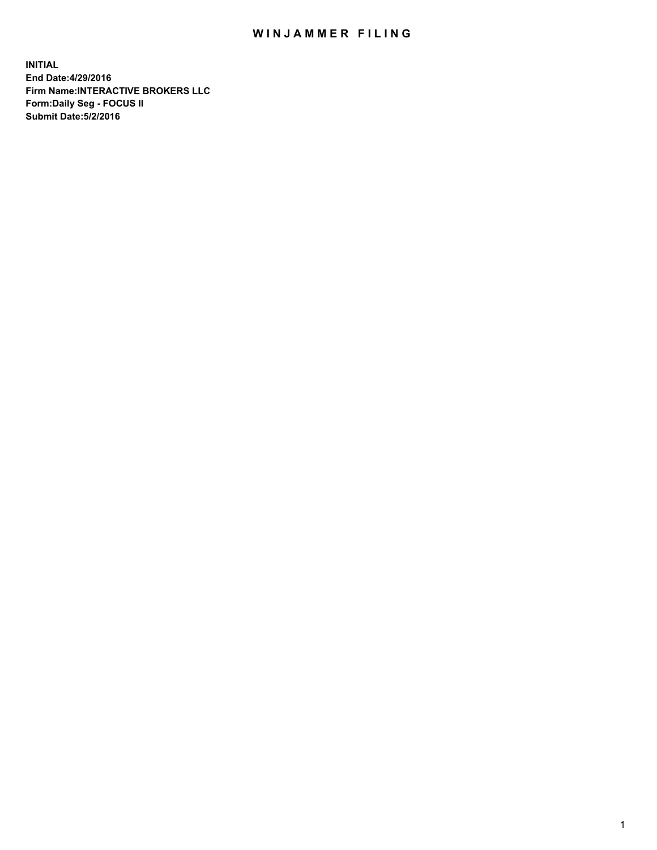## WIN JAMMER FILING

**INITIAL End Date:4/29/2016 Firm Name:INTERACTIVE BROKERS LLC Form:Daily Seg - FOCUS II Submit Date:5/2/2016**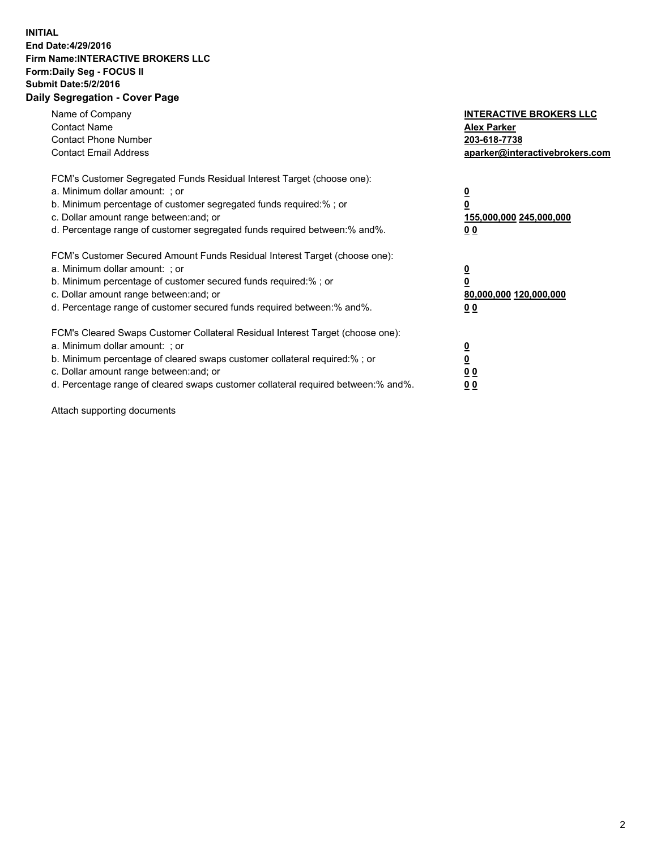## **INITIAL End Date:4/29/2016 Firm Name:INTERACTIVE BROKERS LLC Form:Daily Seg - FOCUS II Submit Date:5/2/2016 Daily Segregation - Cover Page**

| Name of Company<br><b>Contact Name</b><br><b>Contact Phone Number</b><br><b>Contact Email Address</b>                                                                                                                                                                                                                         | <b>INTERACTIVE BROKERS LLC</b><br><b>Alex Parker</b><br>203-618-7738<br>aparker@interactivebrokers.com |
|-------------------------------------------------------------------------------------------------------------------------------------------------------------------------------------------------------------------------------------------------------------------------------------------------------------------------------|--------------------------------------------------------------------------------------------------------|
| FCM's Customer Segregated Funds Residual Interest Target (choose one):<br>a. Minimum dollar amount: ; or<br>b. Minimum percentage of customer segregated funds required:% ; or<br>c. Dollar amount range between: and; or<br>d. Percentage range of customer segregated funds required between:% and%.                        | <u>0</u><br>155,000,000 245,000,000<br><u>00</u>                                                       |
| FCM's Customer Secured Amount Funds Residual Interest Target (choose one):<br>a. Minimum dollar amount: ; or<br>b. Minimum percentage of customer secured funds required:%; or<br>c. Dollar amount range between: and; or<br>d. Percentage range of customer secured funds required between:% and%.                           | <u>0</u><br>80,000,000 120,000,000<br><u>00</u>                                                        |
| FCM's Cleared Swaps Customer Collateral Residual Interest Target (choose one):<br>a. Minimum dollar amount: ; or<br>b. Minimum percentage of cleared swaps customer collateral required:%; or<br>c. Dollar amount range between: and; or<br>d. Percentage range of cleared swaps customer collateral required between:% and%. | <u>0</u><br>0 <sub>0</sub><br>0 <sub>0</sub>                                                           |

Attach supporting documents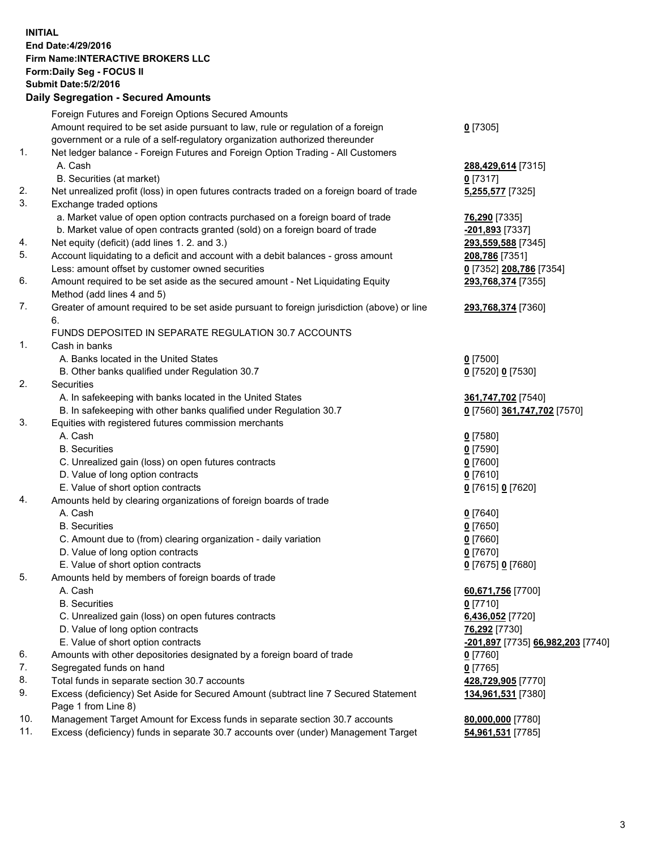## **INITIAL End Date:4/29/2016 Firm Name:INTERACTIVE BROKERS LLC Form:Daily Seg - FOCUS II Submit Date:5/2/2016 Daily Segregation - Secured Amounts**

|     | Foreign Futures and Foreign Options Secured Amounts                                         |                                   |
|-----|---------------------------------------------------------------------------------------------|-----------------------------------|
|     | Amount required to be set aside pursuant to law, rule or regulation of a foreign            | $0$ [7305]                        |
|     | government or a rule of a self-regulatory organization authorized thereunder                |                                   |
| 1.  | Net ledger balance - Foreign Futures and Foreign Option Trading - All Customers             |                                   |
|     | A. Cash                                                                                     | 288,429,614 [7315]                |
|     | B. Securities (at market)                                                                   | $0$ [7317]                        |
| 2.  | Net unrealized profit (loss) in open futures contracts traded on a foreign board of trade   | 5,255,577 [7325]                  |
| 3.  | Exchange traded options                                                                     |                                   |
|     | a. Market value of open option contracts purchased on a foreign board of trade              | 76,290 [7335]                     |
|     | b. Market value of open contracts granted (sold) on a foreign board of trade                | -201,893 [7337]                   |
| 4.  | Net equity (deficit) (add lines 1. 2. and 3.)                                               | 293,559,588 [7345]                |
| 5.  | Account liquidating to a deficit and account with a debit balances - gross amount           | 208,786 [7351]                    |
|     |                                                                                             |                                   |
| 6.  | Less: amount offset by customer owned securities                                            | 0 [7352] 208,786 [7354]           |
|     | Amount required to be set aside as the secured amount - Net Liquidating Equity              | 293,768,374 [7355]                |
|     | Method (add lines 4 and 5)                                                                  |                                   |
| 7.  | Greater of amount required to be set aside pursuant to foreign jurisdiction (above) or line | 293,768,374 [7360]                |
|     | 6.                                                                                          |                                   |
|     | FUNDS DEPOSITED IN SEPARATE REGULATION 30.7 ACCOUNTS                                        |                                   |
| 1.  | Cash in banks                                                                               |                                   |
|     | A. Banks located in the United States                                                       | $Q$ [7500]                        |
|     | B. Other banks qualified under Regulation 30.7                                              | 0 [7520] 0 [7530]                 |
| 2.  | Securities                                                                                  |                                   |
|     | A. In safekeeping with banks located in the United States                                   | 361,747,702 [7540]                |
|     | B. In safekeeping with other banks qualified under Regulation 30.7                          | 0 [7560] 361,747,702 [7570]       |
| 3.  | Equities with registered futures commission merchants                                       |                                   |
|     | A. Cash                                                                                     | $0$ [7580]                        |
|     | <b>B.</b> Securities                                                                        | $0$ [7590]                        |
|     | C. Unrealized gain (loss) on open futures contracts                                         | $0$ [7600]                        |
|     | D. Value of long option contracts                                                           | $0$ [7610]                        |
|     | E. Value of short option contracts                                                          | 0 [7615] 0 [7620]                 |
| 4.  | Amounts held by clearing organizations of foreign boards of trade                           |                                   |
|     | A. Cash                                                                                     | $0$ [7640]                        |
|     | <b>B.</b> Securities                                                                        | $0$ [7650]                        |
|     | C. Amount due to (from) clearing organization - daily variation                             | $0$ [7660]                        |
|     | D. Value of long option contracts                                                           | $0$ [7670]                        |
|     | E. Value of short option contracts                                                          | 0 [7675] 0 [7680]                 |
| 5.  | Amounts held by members of foreign boards of trade                                          |                                   |
|     | A. Cash                                                                                     | 60,671,756 [7700]                 |
|     | <b>B.</b> Securities                                                                        | $0$ [7710]                        |
|     | C. Unrealized gain (loss) on open futures contracts                                         | 6,436,052 [7720]                  |
|     | D. Value of long option contracts                                                           | 76,292 [7730]                     |
|     | E. Value of short option contracts                                                          | -201,897 [7735] 66,982,203 [7740] |
| 6.  | Amounts with other depositories designated by a foreign board of trade                      | $0$ [7760]                        |
| 7.  | Segregated funds on hand                                                                    | $0$ [7765]                        |
| 8.  | Total funds in separate section 30.7 accounts                                               | 428,729,905 [7770]                |
| 9.  | Excess (deficiency) Set Aside for Secured Amount (subtract line 7 Secured Statement         | 134,961,531 [7380]                |
|     | Page 1 from Line 8)                                                                         |                                   |
| 10. | Management Target Amount for Excess funds in separate section 30.7 accounts                 | 80,000,000 [7780]                 |
| 11. | Excess (deficiency) funds in separate 30.7 accounts over (under) Management Target          | 54,961,531 [7785]                 |
|     |                                                                                             |                                   |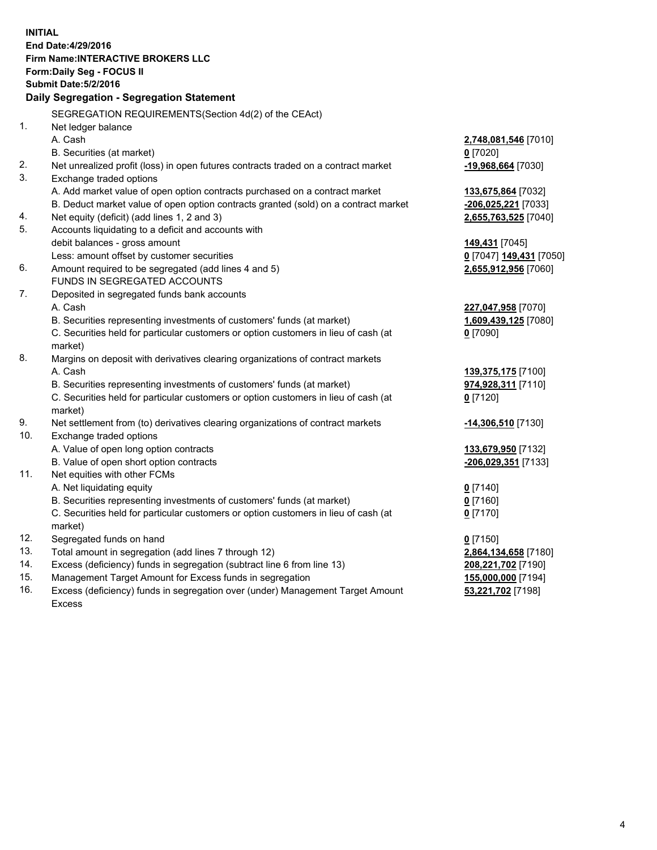**INITIAL End Date:4/29/2016 Firm Name:INTERACTIVE BROKERS LLC Form:Daily Seg - FOCUS II Submit Date:5/2/2016 Daily Segregation - Segregation Statement** SEGREGATION REQUIREMENTS(Section 4d(2) of the CEAct) 1. Net ledger balance A. Cash **2,748,081,546** [7010] B. Securities (at market) **0** [7020] 2. Net unrealized profit (loss) in open futures contracts traded on a contract market **-19,968,664** [7030] 3. Exchange traded options A. Add market value of open option contracts purchased on a contract market **133,675,864** [7032] B. Deduct market value of open option contracts granted (sold) on a contract market **-206,025,221** [7033] 4. Net equity (deficit) (add lines 1, 2 and 3) **2,655,763,525** [7040] 5. Accounts liquidating to a deficit and accounts with debit balances - gross amount **149,431** [7045] Less: amount offset by customer securities **0** [7047] **149,431** [7050] 6. Amount required to be segregated (add lines 4 and 5) **2,655,912,956** [7060] FUNDS IN SEGREGATED ACCOUNTS 7. Deposited in segregated funds bank accounts A. Cash **227,047,958** [7070] B. Securities representing investments of customers' funds (at market) **1,609,439,125** [7080] C. Securities held for particular customers or option customers in lieu of cash (at market) **0** [7090] 8. Margins on deposit with derivatives clearing organizations of contract markets A. Cash **139,375,175** [7100] B. Securities representing investments of customers' funds (at market) **974,928,311** [7110] C. Securities held for particular customers or option customers in lieu of cash (at market) **0** [7120] 9. Net settlement from (to) derivatives clearing organizations of contract markets **-14,306,510** [7130] 10. Exchange traded options A. Value of open long option contracts **133,679,950** [7132] B. Value of open short option contracts **-206,029,351** [7133] 11. Net equities with other FCMs A. Net liquidating equity **0** [7140] B. Securities representing investments of customers' funds (at market) **0** [7160] C. Securities held for particular customers or option customers in lieu of cash (at market) **0** [7170] 12. Segregated funds on hand **0** [7150] 13. Total amount in segregation (add lines 7 through 12) **2,864,134,658** [7180] 14. Excess (deficiency) funds in segregation (subtract line 6 from line 13) **208,221,702** [7190] 15. Management Target Amount for Excess funds in segregation **155,000,000** [7194] 16. Excess (deficiency) funds in segregation over (under) Management Target Amount Excess **53,221,702** [7198]